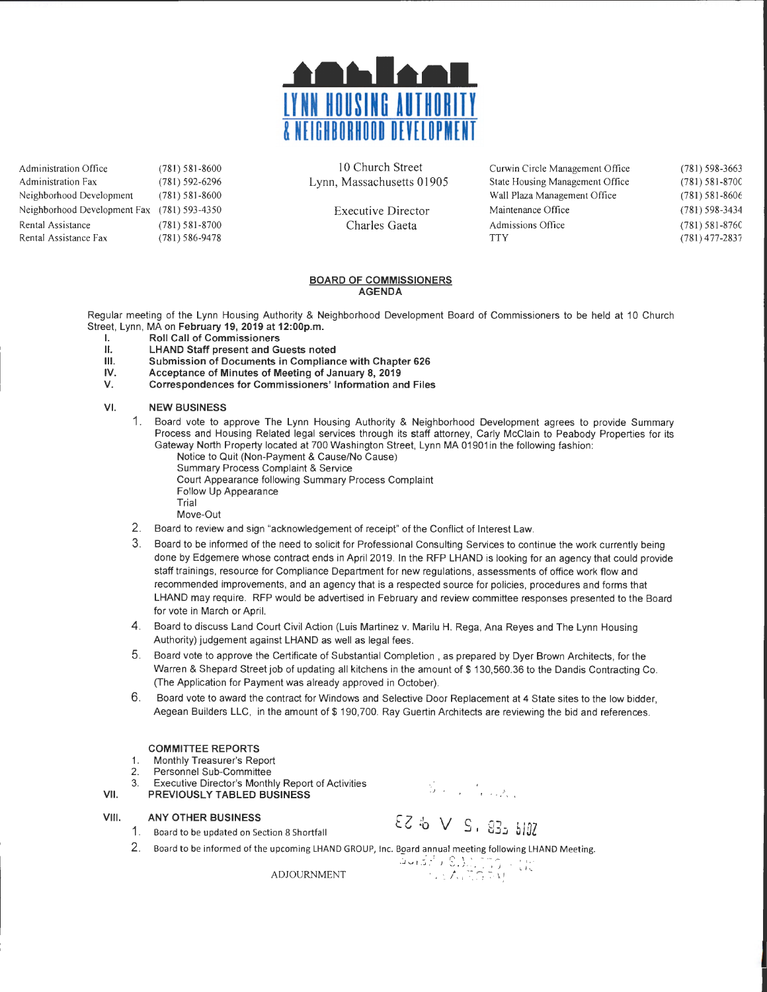

Administration Office Administration Fax Neighborhood Development (781) 581-8600 (781) 592-6296 (78 1) 58 1-8600 Neighborhood Development Fax (781) 593-4350 Rental Assistance (781) 581-8700 Rental Assistance Fax (781) 586-9478

10 Church Street Lynn, Massachusetts 01905

> Executive Director Charles Gaeta

Curwin Circle Management Office State Housing Management Office Wall Plaza Management Office Maintenance Office Admissions Office **TTY** (78 1) 598-3663 (78 1) 581-870C  $(781) 581 - 8606$ (78 1) 598-3434 (78 1) 58 1-876C (78 1) 477-2837

### BOARD OF COMMISSIONERS AGENDA

Regular meeting of the Lynn Housing Authority & Neighborhood Development Board of Commissioners to be held at 10 Church Street, Lynn, MA on February 19, 2019 at 12:00p.m.

- **I.** Roll Call of Commissioners<br>**II.** LHAND Staff present and G
- LHAND Staff present and Guests noted
- Ill. Submission of Documents in Compliance with Chapter 626
- IV. Acceptance of Minutes of Meeting of January 8, 2019
- Correspondences for Commissioners' Information and Files

### VI. NEW BUSINESS

- 1. Board vote to approve The Lynn Housing Authority & Neighborhood Development agrees to provide Summary Process and Housing Related legal services through its staff attorney, Carly McClain to Peabody Properties for its Gateway North Property located at 700 Washington Street, Lynn MA 01901 in the following fashion: Notice to Quit (Non-Payment & Cause/No Cause)
	- Summary Process Complaint & Service Court Appearance following Summary Process Complaint Follow Up Appearance Trial
		- Move-Out
- 2. Board to review and sign "acknowledgement of receipt" of the Conflict of Interest Law.
- 3. Board to be informed of the need to solicit for Professional Consulting Services to continue the work currently being done by Edgemere whose contract ends in April 2019. In the RFP LHAND is looking for an agency that could provide staff trainings , resource for Compliance Department for new regulations, assessments of office work flow and recommended improvements, and an agency that is a respected source for policies, procedures and forms that LHAND may require. RFP would be advertised in February and review committee responses presented to the Board for vote in March or April.
- 4. Board to discuss Land Court Civil Action (Luis Martinez v. Marilu H. Rega, Ana Reyes and The Lynn Housing Authority) judgement against LHAND as well as legal fees.
- 5. Board vote to approve the Certificate of Substantial Completion , as prepared by Dyer Brown Architects , for the Warren & Shepard Street job of updating all kitchens in the amount of \$130,560.36 to the Dandis Contracting Co. (The Application for Payment was already approved in October).
- 6. Board vote to award the contract for Windows and Selective Door Replacement at 4 State sites to the low bidder, Aegean Builders LLC, in the amount of \$ 190, 700. Ray Guertin Architects are reviewing the bid and references.

#### COMMITIEE REPORTS

1. Monthly Treasurer's Report

- 2. Personnel Sub-Committee
- 3. Executive Director's Monthly Report of Activities VII. PREVIOUSLY TABLED BUSINESS

VIII. ANY OTHER BUSINESS

**ANY OTHER BUSINESS**<br>1. Board to be updated on Section 8 Shortfall  $\{Z : b \lor S \}$ ,  $\Im \mathcal{Z}$   $\sharp$   $\sharp$ 

 $S_{\rm eff}$  ,  $I_{\rm eff}$  ,  $A_{\rm eff}$ 

2. Board to be informed of the upcoming LHAND GROUP, Inc. Board annual meeting following LHAND Meeting.

كَانَ: الْكَانَ: الْكَانَ: الْكَانَ: الْكَانَ: ADJOURNMENT<br>|المَاتَّة الإِيمَانِيَّة الْكَانَ: الْكَانَ: الْكَانَ: الْكَانَ: الْكَانَ: الْكَانَ: الْكَانَ: الْكَانَ: الْك